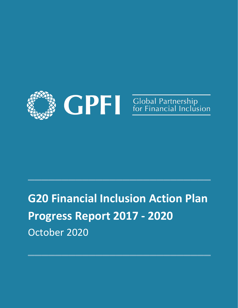

# **G20 Financial Inclusion Action Plan Progress Report 2017 - 2020**  October 2020

**\_\_\_\_\_\_\_\_\_\_\_\_\_\_\_\_\_\_\_\_\_\_\_\_\_\_\_**

**\_\_\_\_\_\_\_\_\_\_\_\_\_\_\_\_\_\_\_\_\_\_\_\_\_\_\_**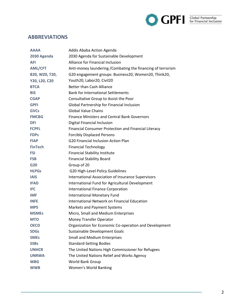

# **ABBREVIATIONS**

| Addis Ababa Action Agenda                                    |  |
|--------------------------------------------------------------|--|
| 2030 Agenda for Sustainable Development                      |  |
| Alliance for Financial Inclusion                             |  |
| Anti-money laundering / Combating the financing of terrorism |  |
| G20 engagement groups: Business20, Women20, Think20,         |  |
| Youth20, Labor20, Civil20                                    |  |
| <b>Better than Cash Alliance</b>                             |  |
| <b>Bank for International Settlements</b>                    |  |
| Consultative Group to Assist the Poor                        |  |
| Global Partnership for Financial Inclusion                   |  |
| <b>Global Value Chains</b>                                   |  |
| <b>Finance Ministers and Central Bank Governors</b>          |  |
| Digital Financial Inclusion                                  |  |
| Financial Consumer Protection and Financial Literacy         |  |
| <b>Forcibly Displaced Persons</b>                            |  |
| <b>G20 Financial Inclusion Action Plan</b>                   |  |
| <b>Financial Technology</b>                                  |  |
| <b>Financial Stability Institute</b>                         |  |
| <b>Financial Stability Board</b>                             |  |
| Group of 20                                                  |  |
| G20 High-Level Policy Guidelines                             |  |
| International Association of Insurance Supervisors           |  |
| International Fund for Agricultural Development              |  |
| <b>International Finance Corporation</b>                     |  |
| <b>International Monetary Fund</b>                           |  |
| International Network on Financial Education                 |  |
| <b>Markets and Payment Systems</b>                           |  |
| Micro, Small and Medium Enterprises                          |  |
| <b>Money Transfer Operator</b>                               |  |
| Organization for Economic Co-operation and Development       |  |
| Sustainable Development Goals                                |  |
| <b>Small and Medium Enterprises</b>                          |  |
| <b>Standard-Setting Bodies</b>                               |  |
| The United Nations High Commissioner for Refugees            |  |
| The United Nations Relief and Works Agency                   |  |
| World Bank Group                                             |  |
| Women's World Banking                                        |  |
|                                                              |  |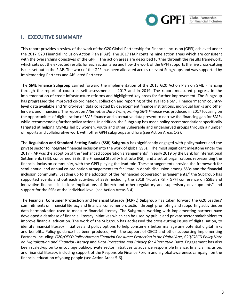

# **I. EXECUTIVE SUMMARY**

This report provides a review of the work of the G20 Global Partnership for Financial Inclusion (GPFI) achieved under the 2017 G20 Financial Inclusion Action Plan (FIAP). The 2017 FIAP contains nine action areas which are consistent with the overarching objectives of the GPFI. The action areas are described further through the results framework, which sets out the expected results for each action area and how the work of the GPFI supports the five cross-cutting issues set out in the FIAP. The work of the GPFI has been allocated across relevant Subgroups and was supported by Implementing Partners and Affiliated Partners:

The **SME Finance Subgroup** carried forward the implementation of the 2015 G20 Action Plan on SME Financing through the report of countries self-assessments in 2017 and in 2019. The report measured progress in the implementation of credit infrastructure reforms and highlighted key areas for further improvement. The Subgroup has progressed the improved co-ordination, collection and reporting of the available SME Finance 'macro' countrylevel data available and 'micro-level' data collected by development finance institutions, individual banks and other lenders and financiers. The report on *Alternative Data Transforming SME Finance* was produced in 2017 focusing on the opportunities of digitalization of SME finance and alternative data present to narrow the financing gap for SMEs while recommending further policy actions. In addition, the Subgroup has made policy recommendations specifically targeted at helping MSMEs led by women, youth and other vulnerable and underserved groups through a number of reports and collaborative work with other GPFI subgroups and fora (see Action Areas 1-2).

The **Regulation and Standard-Setting Bodies (SSB) Subgroup** has significantly engaged with policymakers and the private sector to integrate financial inclusion into the work of global SSBs. The most significant milestone under the 2017 FIAP was the adoption of the "enhanced cooperation arrangements" in early 2019 by the Bank for International Settlements (BIS), concerned SSBs, the Financial Stability Institute (FSI), and a set of organizations representing the financial inclusion community, with the GPFI playing the lead role. These arrangements provide the framework for semi-annual and annual co-ordination arrangements to facilitate in-depth discussion among SSBs and the financial inclusion community. Leading up to the adoption of the "enhanced cooperation arrangements," the Subgroup has supported events and outreach activities of SSBs, including the 2018 "Fourth FSI - GPFI conference on SSBs and innovative financial inclusion: implications of fintech and other regulatory and supervisory developments" and support for the SSBs at the individual level (see Action Areas 3-4).

The **Financial Consumer Protection and Financial Literacy (FCPFL) Subgroup** has taken forward the G20 Leaders' commitments on financial literacy and financial consumer protection through promoting and supporting activities on data harmonization used to measure financial literacy. The Subgroup, working with implementing partners have developed a database of financial literacy initiatives which can be used by public and private sector stakeholders to improve financial education. The work of the Subgroup has addressed the cross-cutting issues of digitalisation, to identify financial literacy initiatives and policy options to help consumers better manage any potential digital risks and benefits. Policy guidance has been produced, with the support of OECD and other supporting Implementing Partners, including: *G20/OECD Policy Note on Financial Consumer Protection in the Digital Age*, *G20/OECD Policy Note on Digitalisation and Financial Literacy* and *Data Protection and Privacy for Alternative Data*. Engagement has also been scaled-up on to encourage public-private sector initiatives to advance responsible finance, financial inclusion, and financial literacy, including support of the Responsible Finance Forum and a global awareness campaign on the financial education of young people (see Action Areas 5-6).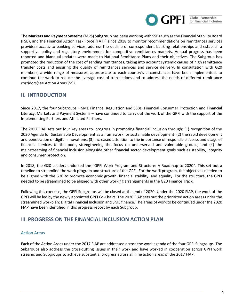

The **Markets and Payment Systems(MPS) Subgroup** has been working with SSBs such as the Financial Stability Board (FSB), and the Financial Action Task Force (FATF) since 2018 to monitor recommendations on remittances services providers access to banking services, address the decline of correspondent banking relationships and establish a supportive policy and regulatory environment for competitive remittances markets. Annual progress has been reported and biannual updates were made to National Remittance Plans and their objectives. The Subgroup has promoted the reduction of the cost of sending remittances, taking into account systemic causes of high remittance transfer costs and ensuring the quality of remittances services and service delivery. In consultation with G20 members, a wide range of measures, appropriate to each country's circumstances have been implemented, to continue the work to reduce the average cost of transactions and to address the needs of different remittance corridors(see Action Areas 7-9).

# **II. INTRODUCTION**

Since 2017, the four Subgroups – SME Finance, Regulation and SSBs, Financial Consumer Protection and Financial Literacy, Markets and Payment Systems – have continued to carry out the work of the GPFI with the support of the Implementing Partners and Affiliated Partners.

The 2017 FIAP sets out four key areas to progress in promoting financial inclusion through: (1) recognition of the 2030 Agenda for Sustainable Development as a framework for sustainable development; (2) the rapid development and penetration of digital innovations; (3) increased attention to the importance of responsible access and usage of financial services to the poor, strengthening the focus on underserved and vulnerable groups; and (4) the mainstreaming of financial inclusion alongside other financial sector development goals such as stability, integrity and consumer protection.

In 2018, the G20 Leaders endorsed the "GPFI Work Program and Structure: A Roadmap to 2020". This set out a timeline to streamline the work program and structure of the GPFI. For the work program, the objectives needed to be aligned with the G20 to promote economic growth, financial stability, and equality. For the structure, the GPFI needed to be streamlined to be aligned with other working arrangements in the G20 Finance Track.

Following this exercise, the GPFI Subgroups will be closed at the end of 2020. Under the 2020 FIAP, the work of the GPFI will be led by the newly appointed GPFI Co-Chairs. The 2020 FIAP sets out the prioritized action areas under the streamlined workplan: Digital Financial Inclusion and SME finance. The areas of work to be continued under the 2020 FIAP have been identified in this progress report by each Subgroup.

## III. **PROGRESS ON THE FINANCIAL INCLUSION ACTION PLAN**

## Action Areas

Each of the Action Areas under the 2017 FIAP are addressed across the work agenda of the four GPFI Subgroups. The Subgroups also address the cross-cutting issues in their work and have worked in cooperation across GPFI work streams and Subgroups to achieve substantial progress across all nine action areas of the 2017 FIAP.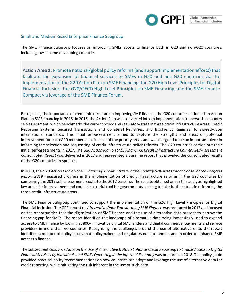

## Small and Medium-Sized Enterprise Finance Subgroup

The SME Finance Subgroup focuses on improving SMEs access to finance both in G20 and non-G20 countries, including low-income developing countries.

**Action Area 1:** Promote national/global policy reforms (and support implementation efforts) that facilitate the expansion of financial services to SMEs in G20 and non-G20 countries via the Implementation of the G20 Action Plan on SME Financing, the G20 High Level Principles for Digital Financial Inclusion, the G20/OECD High Level Principles on SME Financing, and the SME Finance Compact via leverage of the SME Finance Forum.

Recognizing the importance of credit infrastructure in improving SME finance, the G20 countries endorsed an Action Plan on SME financing in 2015. In 2016, the Action Plan was converted into an implementation framework, a country self-assessment, which benchmarks the current policy and regulatory state in three credit infrastructure areas (Credit Reporting Systems, Secured Transactions and Collateral Registries, and Insolvency Regimes) to agreed-upon international standards. The initial self-assessment aimed to capture the strengths and areas of potential improvement for each G20 member state in each of the priority areas and was designed to be an important piece in informing the selection and sequencing of credit infrastructure policy reforms. The G20 countries carried out their initial self-assessments in 2017. The *G20 Action Plan on SME Financing: Credit Infrastructure Country Self-Assessment Consolidated Report* was delivered in 2017 and represented a baseline report that provided the consolidated results of the G20 countries' responses.

In 2019, the *G20 Action Plan on SME Financing: Credit Infrastructure Country Self-Assessment Consolidated Progress Report 2019* measured progress in the implementation of credit infrastructure reforms in the G20 countries by comparing the 2019 self-assessment results to the 2017 baseline. The results obtained under this analysis highlighted key areas for improvement and could be a useful tool for governments seeking to take further steps in reforming the three credit infrastructure areas.

The SME Finance Subgroup continued to support the implementation of the G20 High Level Principles for Digital Financial Inclusion. The GPFI report on *Alternative Data Transforming SME Finance* was produced in 2017 and focused on the opportunities that the digitalization of SME finance and the use of alternative data present to narrow the financing gap for SMEs. The report identified the landscape of alternative data being increasingly used to expand access to SME finance by looking at 800+ innovative digital SME lenders and digital commerce, payments and service providers in more than 60 countries. Recognizing the challenges around the use of alternative data, the report identified a number of policy issues that policymakers and regulators need to understand in order to enhance SME access to finance.

The subsequent *Guidance Note on the Use of Alternative Data to Enhance Credit Reporting to Enable Access to Digital Financial Services by Individuals and SMEs Operating in the Informal Economy* was prepared in 2018. The policy guide provided practical policy recommendations on how countries can adopt and leverage the use of alternative data for credit reporting, while mitigating the risk inherent in the use of such data.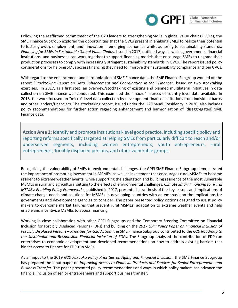

Following the reaffirmed commitment of the G20 leaders to strengthening SMEs in global value chains (GVCs), the SME Finance Subgroup explored the opportunities that the GVCs present in enabling SMEs to realize their potential to foster growth, employment, and innovation in emerging economies whilst adhering to sustainability standards. *Financing for SMEs in Sustainable Global Value Chains*, issued in 2017, outlined ways in which governments, financial institutions, and businesses can work together to support financing models that encourage SMEs to upgrade their production processes to comply with increasingly stringent sustainability standards in GVCs. The report issued policy considerations for helping SMEs access financing they need to improve their sustainability compliance and join GVCs.

With regard to the enhancement and harmonization of SME Finance data, the SME Finance Subgroup worked on the report "*Stocktaking Report on Data Enhancement and Coordination in SME Finance*", based on two stocktaking exercises. In 2017, as a first step, an overview/stocktaking of existing and planned multilateral initiatives in data collection on SME finance was conducted. This examined the "macro" sources of country-level data available. In 2018, the work focused on "micro" level data collection by development finance institutions from individual banks and other lenders/financiers. The stocktaking report, issued under the G20 Saudi Presidency in 2020, also includes policy recommendations for further action regarding enhancement and harmonization of (disaggregated) SME Finance data.

**Action Area 2:** Identify and promote institutional-level good practice, including specific policy and reporting reforms specifically targeted at helping SMEs from particularly difficult to reach and/or underserved segments, including women entrepreneurs, youth entrepreneurs, rural entrepreneurs, forcibly displaced persons, and other vulnerable groups.

Recognizing the vulnerability of SMEs to environmental challenges, the GPFI SME Finance Subgroup demonstrated the importance of promoting investment in MSMEs, as well as investment that encourages rural MSMEs to become resilient to extreme weather events, while supporting the adaptation and building resilience of the most vulnerable MSMEs in rural and agricultural setting to the effects of environmental challenges. *Climate Smart Financing for Rural MSMEs: Enabling Policy Frameworks*, published in 2017, presented a synthesis of the key lessons and implications of climate change needs and solutions for MSMEs in developing countries with an emphasis on the implications for governments and development agencies to consider. The paper presented policy options designed to assist policy makers to overcome market failures that prevent rural MSMEs' adaptation to extreme weather events and help enable and incentivize MSMEs to access financing.

Working in close collaboration with other GPFI Subgroups and the Temporary Steering Committee on Financial Inclusion for Forcibly Displaced Persons (FDPs) and building on the *2017 GPFI Policy Paper on Financial Inclusion of Forcibly Displaced Persons – Priorities for G20 Action*, the SME Finance Subgroup contributed to the *G20 Roadmap to the Sustainable and Responsible Financial Inclusion of FDPs*. The Subgroup analyzed the contribution of FDP-run enterprises to economic development and developed recommendations on how to address existing barriers that hinder access to finance for FDP-run SMEs.

As an input to the 2019 *G20 Fukuoka Policy Priorities on Aging and Financial Inclusion*, the SME Finance Subgroup has prepared the input paper on *Improving Access to Financial Products and Services for Senior Entrepreneurs and Business Transfer.* The paper presented policy recommendations and ways in which policy makers can advance the financial inclusion of senior entrepreneurs and support business transfer.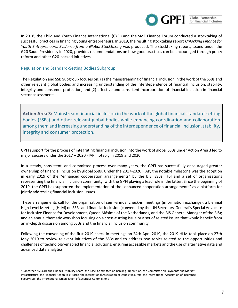

In 2018, the Child and Youth Finance International (CYFI) and the SME Finance Forum conducted a stocktaking of successful practices in financing young entrepreneurs. In 2019, the resulting stocktaking report *Unlocking Finance for Youth Entrepreneurs: Evidence from a Global Stocktaking* was produced. The stocktaking report, issued under the G20 Saudi Presidency in 2020, provides recommendations on how good practices can be encouraged through policy reform and other G20-backed initiatives.

## Regulation and Standard-Setting Bodies Subgroup

The Regulation and SSB Subgroup focuses on: (1) the mainstreaming of financial inclusion in the work of the SSBs and other relevant global bodies and increasing understanding of the interdependence of financial inclusion, stability, integrity and consumer protection; and (2) effective and consistent incorporation of financial inclusion in financial sector assessments.

**Action Area 3:** Mainstream financial inclusion in the work of the global financial standard-setting bodies (SSBs) and other relevant global bodies while enhancing coordination and collaboration among them and increasing understanding of the interdependence of financial inclusion, stability, integrity and consumer protection.

GPFI support for the process of integrating financial inclusion into the work of global SSBs under Action Area 3 led to major success under the 2017 – 2020 FIAP, notably in 2019 and 2020.

In a steady, consistent, and committed process over many years, the GPFI has successfully encouraged greater ownership of financial inclusion by global SSBs. Under the 2017-2020 FIAP, the notable milestone was the adoption in early 2019 of the "enhanced cooperation arrangements" by the BIS, SSBs, $<sup>1</sup>$  FSI and a set of organizations</sup> representing the financial inclusion community, with the GPFI playing a lead role in the latter. Since the beginning of 2019, the GPFI has supported the implementation of the "enhanced cooperation arrangements" as a platform for jointly addressing financial inclusion issues.

These arrangements call for the organization of semi-annual check-in meetings (information exchange), a biennial High-Level Meeting (HLM) on SSBs and financial inclusion (convened by the UN Secretary-General's Special Advocate for Inclusive Finance for Development, Queen Máxima of the Netherlands, and the BIS General Manager of the BIS); and an annual thematic workshop focusing on a cross-cutting issue or a set of related issues that would benefit from an in-depth discussion among SSBs and the financial inclusion community.

Following the convening of the first 2019 check-in meetings on 24th April 2019, the 2019 HLM took place on 27th May 2019 to review relevant initiatives of the SSBs and to address two topics related to the opportunities and challenges of technology-enabled financial solutions: ensuring accessible markets and the use of alternative data and advanced data analytics.

 $1$  Concerned SSBs are the Financial Stability Board, the Basel Committee on Banking Supervision, the Committee on Payments and Market Infrastructure, the Financial Action Task Force, the International Association of Deposit Insurers, the International Association of Insurance Supervisors, the International Organization of Securities Commissions.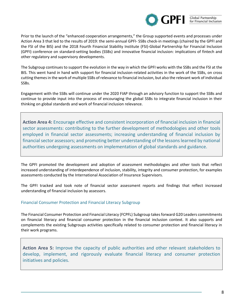

Prior to the launch of the "enhanced cooperation arrangements," the Group supported events and processes under Action Area 3 that led to the results of 2019: the semi-annual GPFI- SSBs check-in meetings (chaired by the GPFI and the FSI of the BIS) and the 2018 Fourth Financial Stability Institute (FSI)-Global Partnership for Financial Inclusion (GPFI) conference on standard-setting bodies (SSBs) and innovative financial inclusion: implications of fintech and other regulatory and supervisory developments.

The Subgroup continues to support the evolution in the way in which the GPFI works with the SSBs and the FSI at the BIS. This went hand in hand with support for financial inclusion-related activities in the work of the SSBs, on cross cutting themes in the work of multiple SSBs of relevance to financial inclusion, but also the relevant work of individual SSBs.

Engagement with the SSBs will continue under the 2020 FIAP through an advisory function to support the SSBs and continue to provide input into the process of encouraging the global SSBs to integrate financial inclusion in their thinking on global standards and work of financial inclusion relevance.

**Action Area 4:** Encourage effective and consistent incorporation of financial inclusion in financial sector assessments: contributing to the further development of methodologies and other tools employed in financial sector assessments; increasing understanding of financial inclusion by financial sector assessors; and promoting better understanding of the lessons learned by national authorities undergoing assessments on implementation of global standards and guidance.

The GPFI promoted the development and adoption of assessment methodologies and other tools that reflect increased understanding of interdependence of inclusion, stability, integrity and consumer protection, for examples assessments conducted by the International Association of Insurance Supervisors.

The GPFI tracked and took note of financial sector assessment reports and findings that reflect increased understanding of financial inclusion by assessors.

## Financial Consumer Protection and Financial Literacy Subgroup

The Financial Consumer Protection and Financial Literacy (FCPFL) Subgroup takes forward G20 Leaders commitments on financial literacy and financial consumer protection in the financial inclusion context. It also supports and complements the existing Subgroups activities specifically related to consumer protection and financial literacy in their work programs.

**Action Area 5:** Improve the capacity of public authorities and other relevant stakeholders to develop, implement, and rigorously evaluate financial literacy and consumer protection initiatives and policies.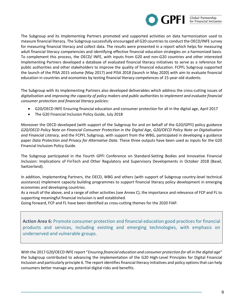

The Subgroup and its Implementing Partners promoted and supported activities on data harmonization used to measure financial literacy. The Subgroup successfully encouraged all G20 countries to conduct the OECD/INFE survey for measuring financial literacy and collect data. The results were presented in a report which helps for measuring adult financial literacy competencies and identifying effective financial education strategies on a harmonized basis. To complement this process, the OECD/ INFE, with inputs from G20 and non-G20 countries and other interested Implementing Partners developed a database of evaluated financial literacy initiatives to serve as a reference for public authorities and other stakeholders to improve the quality of financial education. FCPFL Subgroup supported the launch of the PISA 2015 volume (May 2017) and PISA 2018 (launch in May 2020) with aim to evaluate financial education in countries and economies by testing financial literacy competences of 15-year-old students.

The Subgroup with its Implementing Partners also developed deliverables which address the cross-cutting issues of *digitalisation* and *improving the capacity of policy makers and public authorities to implement and evaluate financial consumer protection and financial literacy policies*:

- [G20/OECD INFE Ensuring financial education and consumer protection for all in the digital age,](https://www.gpfi.org/sites/gpfi/files/documents/09%20G20-OECD-INFE-Report-Financial-Education-Consumer-Protection-Digital-Age.pdf) April 2017
- The G20 Financial Inclusion Policy Guide, July 2018

Moreover the OECD developed (with support of the Subgroup for and on behalf of the G20/GPFI) policy guidance *[G20/OECD Policy Note on Financial Consumer Protection in the Digital Age,](https://www.oecd.org/daf/fin/financial-education/G20-OECD-Policy-Guidance-Financial-Consumer-Protection-Digital-Age-2018.pdf) [G20/OECD Policy Note on Digitalisation](http://www.oecd.org/finance/G20-OECD-INFE-Policy-Guidance-Digitalisation-Financial-Literacy-2018.pdf)  [and Financial Literacy,](http://www.oecd.org/finance/G20-OECD-INFE-Policy-Guidance-Digitalisation-Financial-Literacy-2018.pdf)* and the FCPFL Subgroup, with support from the WBG, participated in developing a guidance paper *Data Protection and Privacy for Alternative Data*. These three outputs have been used as inputs for the G20 Financial Inclusion Policy Guide.

The Subgroup participated in the Fourth GPFI Conference on Standard-Setting Bodies and Innovative Financial Inclusion: Implications of FinTech and Other Regulatory and Supervisory Developments in October 2018 (Basel, Switzerland).

In addition, Implementing Partners, the OECD, WBG and others (with support of Subgroup country-level technical assistance) implement capacity building programmes to support financial literacy policy development in emerging economies and developing countries.

As a result of the above, and a range of other activities (see Annex C), the importance and relevance of FCP and FL to supporting meaningful financial inclusion is well established.

Going forward, FCP and FL have been identified as cross-cutting themes for the 2020 FIAP.

**Action Area 6:** Promote consumer protection and financial education good practices for financial products and services, including existing and emerging technologies, with emphasis on underserved and vulnerable groups.

With the 2017 G20/OECD INFE report "*Ensuring financial education and consumer protection for all in the digital age*" the Subgroup contributed to advancing the implementation of the G20 High-Level Principles for Digital Financial Inclusion and particularly principle 6. The report identifies financial literacy initiatives and policy options that can help consumers better manage any potential digital risks and benefits.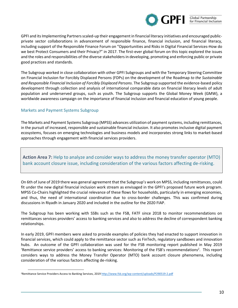

GPFI and its Implementing Partners scaled-up their engagement in financial literacy initiatives and encouraged publicprivate sector collaborations in advancement of responsible finance, financial inclusion, and financial literacy, including support of the Responsible Finance Forum on "Opportunities and Risks in Digital Financial Services-How do we best Protect Consumers and their Privacy?" in 2017. The first-ever global forum on this topic explored the issues and the roles and responsibilities of the diverse stakeholders in developing, promoting and enforcing public or private good practices and standards.

The Subgroup worked in close collaboration with other GPFI Subgroups and with the Temporary Steering Committee on Financial Inclusion for Forcibly Displaced Persons (FDPs) on the development of the Roadmap *to the Sustainable and Responsible Financial Inclusion of Forcibly Displaced Persons*. The Subgroup supported the evidence-based policy development through collection and analysis of international comparable data on financial literacy levels of adult population and underserved groups, such as youth. The Subgroup supports the Global Money Week (GMW), a worldwide awareness campaign on the importance of financial inclusion and financial education of young people.

## Markets and Payment Systems Subgroup

The Markets and Payment Systems Subgroup (MPSS) advances utilization of payment systems, including remittances, in the pursuit of increased, responsible and sustainable financial inclusion. It also promotes inclusive digital payment ecosystems, focuses on emerging technologies and business models and incorporates strong links to market-based approaches through engagement with financial services providers.

**Action Area 7:** Help to analyze and consider ways to address the money transfer operator (MTO) bank account closure issue, including consideration of the various factors affecting de-risking.

On 6th of June of 2019 there was general agreement that the Subgroup's work on MPSS, including remittances, could fit under the new digital financial inclusion work stream as envisaged in the GPFI's proposed future work program. MPSS Co-Chairs highlighted the crucial relevance of these flows for households, particularly in emerging economies, and thus, the need of international coordination due to cross-border challenges. This was confirmed during discussions in Riyadh in January 2020 and included in the outline for the 2020 FIAP.

The Subgroup has been working with SSBs such as the FSB, FATF since 2018 to monitor recommendations on remittances services providers' access to banking services and also to address the decline of correspondent banking relationships.

In early 2019, GPFI members were asked to provide examples of policies they had enacted to support innovation in financial services, which could apply to the remittance sector such as FinTech, regulatory sandboxes and innovation hubs. An outcome of the GPFI collaboration was used for the FSB monitoring report published in May 2019 'Remittance service providers' access to banking services: Monitoring of the FSB's recommendations<sup>2</sup>. This report considers ways to address the Money Transfer Operator (MTO) bank account closure phenomena, including consideration of the various factors affecting de-risking.

<sup>&</sup>lt;sup>2</sup>Remittance Service Providers Access to Banking Services, 201[9 http://www.fsb.org/wp-content/uploads/P290519-2.pdf](http://www.fsb.org/wp-content/uploads/P290519-2.pdf)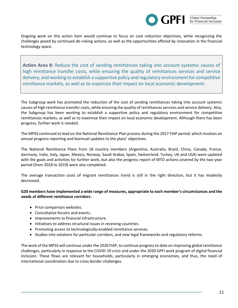

Ongoing work on this action item would continue to focus on cost reduction objectives, while recognizing the challenges posed by continued de-risking actions, as well as the opportunities offered by innovation in the financial technology space.

**Action Area 8:** Reduce the cost of sending remittances taking into account systemic causes of high remittance transfer costs, while ensuring the quality of remittances services and service delivery, and working to establish a supportive policy and regulatory environment for competitive remittance markets, as well as to maximize their impact on local economic development.

The Subgroup work has promoted the reduction of the cost of sending remittances taking into account systemic causes of high remittance transfer costs, while ensuring the quality of remittances services and service delivery. Also, the Subgroup has been working to establish a supportive policy and regulatory environment for competitive remittances markets, as well as to maximize their impact on local economic development. Although there has been progress, further work is needed.

The MPSS continued to lead on the National Remittance Plan process during the 2017 FIAP period, which involves an annual progress reporting and biannual updates to the plans' objectives.

The [National Remittance Plans](https://www.gpfi.org/sites/gpfi/files/documents/2017%20G20%20National%20Remittance%20Plans%20Overview.pdf) from 18 country members (Argentina, Australia, Brazil, China, Canada, France, Germany, India, Italy, Japan, Mexico, Norway, Saudi Arabia, Spain, Switzerland, Turkey, UK and USA) were updated with the goals and activities for further work, but also the progress report of MTO actions covered by the two year period (from 2018 to 2019) were also completed.

The average transaction costs of migrant remittances trend is still in the right direction, but it has modestly decreased.

## **G20 members have implemented a wide range of measures, appropriate to each member's circumstances and the needs of different remittance corridors:**

- Price comparison websites.
- Consultative forums and events.
- Improvements to financial infrastructure.
- Initiatives to address structural issues in receiving countries.
- Promoting access to technologically-enabled remittance services.
- Studies into solutions for particular corridors, and new legal frameworks and regulatory reforms.

The work of the MPSS will continue under the 2020 FIAP, to continue progress to date on improving global remittance challenges, particularly in response to the COVID-19 crisis and under the 2020 GPFI work program of digital financial inclusion. These flows are relevant for households, particularly in emerging economies, and thus, the need of international coordination due to cross-border challenges.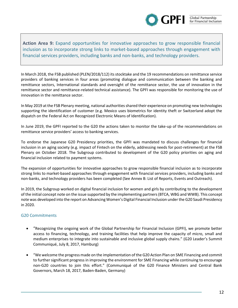

**Action Area 9:** Expand opportunities for innovative approaches to grow responsible financial inclusion as to incorporate strong links to market-based approaches through engagement with financial services providers, including banks and non-banks, and technology providers.

In March 2018, the FSB published (PLEN/2018/112) its stocktake and the 19 recommendations on remittance service providers of banking services in four areas (promoting dialogue and communication between the banking and remittance sectors, International standards and oversight of the remittance sector, the use of innovation in the remittance sector and remittance-related technical assistance). The GPFI was responsible for monitoring the use of innovation in the remittance sector.

In May 2019 at the FSB Plenary meeting, national authorities shared their experience on promoting new technologies supporting the identification of customer (e.g. Mexico uses biometrics for identity theft or Switzerland adopt the dispatch on the Federal Act on Recognized Electronic Means of Identification).

In June 2019, the GPFI reported to the G20 the actions taken to monitor the take-up of the recommendations on remittance service providers' access to banking services.

To endorse the Japanese G20 Presidency priorities, the GPFI was mandated to discuss challenges for financial inclusion in an aging society (e.g. impact of Fintech on the elderly, addressing needs for post-retirement) at the FSB Plenary on October 2018. The Subgroup contributed to development of the G20 policy priorities on aging and financial inclusion related to payment systems.

The expansion of opportunities for innovative approaches to grow responsible financial inclusion as to incorporate strong links to market-based approaches through engagement with financial services providers, including banks and non-banks, and technology providers has been completed (See Annex B: List of Reports, Events and Outreach).

In 2019, the Subgroup worked on digital financial inclusion for women and girls by contributing to the development of the initial concept note on the issue supported by the implementing partners (BTCA, WBG and WWB). This concept note was developed into the report on Advancing Women's Digital Financial Inclusion under the G20 Saudi Presidency in 2020.

## G20 Commitments

- "Recognizing the ongoing work of the Global Partnership for Financial Inclusion (GPFI), we promote better access to financing, technology, and training facilities that help improve the capacity of micro, small and medium enterprises to integrate into sustainable and inclusive global supply chains." (G20 Leader's Summit Communiqué, July 8, 2017, Hamburg)
- "We welcome the progress made on the implementation of the G20 Action Plan on SME Financing and commit to further significant progress in improving the environment for SME Financing while continuing to encourage non-G20 countries to join this effort." (Communiqué of the G20 Finance Ministers and Central Bank Governors, March 18, 2017, Baden-Baden, Germany)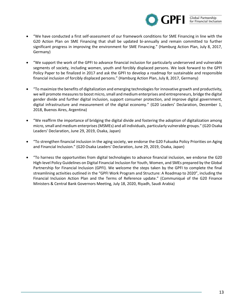

- "We have conducted a first self-assessment of our framework conditions for SME Financing in line with the G20 Action Plan on SME Financing that shall be updated bi-annually and remain committed to further significant progress in improving the environment for SME Financing." (Hamburg Action Plan, July 8, 2017, Germany)
- "We support the work of the GPFI to advance financial inclusion for particularly underserved and vulnerable segments of society, including women, youth and forcibly displaced persons. We look forward to the GPFI Policy Paper to be finalized in 2017 and ask the GPFI to develop a roadmap for sustainable and responsible financial inclusion of forcibly displaced persons." (Hamburg Action Plan, July 8, 2017, Germany)
- "To maximize the benefits of digitalization and emerging technologies for innovative growth and productivity, we will promote measures to boost micro, small and medium enterprises and entrepreneurs, bridge the digital gender divide and further digital inclusion, support consumer protection, and improve digital government, digital infrastructure and measurement of the digital economy." (G20 Leaders' Declaration, December 1, 2018, Buenos Aires, Argentina)
- "We reaffirm the importance of bridging the digital divide and fostering the adoption of digitalization among micro, small and medium enterprises (MSMEs) and all individuals, particularly vulnerable groups." (G20 Osaka Leaders' Declaration, June 29, 2019, Osaka, Japan)
- "To strengthen financial inclusion in the aging society, we endorse the G20 Fukuoka Policy Priorities on Aging and Financial Inclusion." (G20 Osaka Leaders' Declaration, June 29, 2019, Osaka, Japan)
- "To harness the opportunities from digital technologies to advance financial inclusion, we endorse the G20 High-level Policy Guidelines on Digital Financial Inclusion for Youth, Women, and SMEs prepared by the Global Partnership for Financial Inclusion (GPFI). We welcome the steps taken by the GPFI to complete the final streamlining activities outlined in the "GPFI Work Program and Structure: A Roadmap to 2020", including the Financial Inclusion Action Plan and the Terms of Reference update." (Communiqué of the G20 Finance Ministers & Central Bank Governors Meeting, July 18, 2020, Riyadh, Saudi Arabia)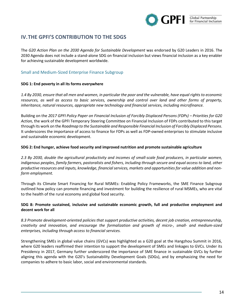

# **IV.THE GPFI'S CONTRIBUTION TO THE SDGS**

The *G20 Action Plan on the 2030 Agenda for Sustainable Development* was endorsed by G20 Leaders in 2016. The 2030 Agenda does not include a stand-alone SDG on financial inclusion but views financial inclusion as a key enabler for achieving sustainable development worldwide.

## Small and Medium-Sized Enterprise Finance Subgroup

## **SDG 1: End poverty in all its forms everywhere**

*1.4 By 2030, ensure that all men and women, in particular the poor and the vulnerable, have equal rights to economic resources, as well as access to basic services, ownership and control over land and other forms of property, inheritance, natural resources, appropriate new technology and financial services, including microfinance.*

Building on the 2017 GPFI Policy Paper on Financial Inclusion of Forcibly Displaced Persons (FDPs) – Priorities for G20 *Action,* the work of the GPFI Temporary Steering Committee on Financial Inclusion of FDPs contributed to this target through its work on the *Roadmap to the Sustainable and Responsible Financial Inclusion of Forcibly Displaced Persons*. It underscores the importance of access to finance for FDPs as well as FDP-owned enterprises to stimulate inclusive and sustainable economic development.

### **SDG 2: End hunger, achieve food security and improved nutrition and promote sustainable agriculture**

*2.3 By 2030, double the agricultural productivity and incomes of small-scale food producers, in particular women, indigenous peoples, family farmers, pastoralists and fishers, including through secure and equal access to land, other productive resources and inputs, knowledge, financial services, markets and opportunities for value addition and nonfarm employment.*

Through its Climate Smart Financing for Rural MSMEs: Enabling Policy Frameworks, the SME Finance Subgroup outlined how policy can promote financing and investment for building the resilience of rural MSMEs, who are vital to the health of the rural economy and global food security.

## **SDG 8: Promote sustained, inclusive and sustainable economic growth, full and productive employment and decent work for all**

*8.3 Promote development-oriented policies that support productive activities, decent job creation, entrepreneurship, creativity and innovation, and encourage the formalization and growth of micro-, small- and medium-sized enterprises, including through access to financial services.*

Strengthening SMEs in global value chains (GVCs) was highlighted as a G20 goal at the Hangzhou Summit in 2016, where G20 leaders reaffirmed their intention to support the development of SMEs and linkages to GVCs. Under its Presidency in 2017, Germany further underscored the importance of SME finance in sustainable GVCs by further aligning this agenda with the G20's Sustainability Development Goals (SDGs), and by emphasizing the need for companies to adhere to basic labor, social and environmental standards.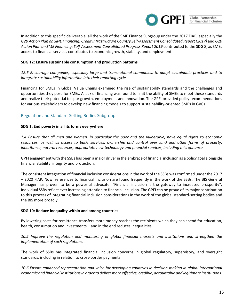

In addition to this specific deliverable, all the work of the SME Finance Subgroup under the 2017 FIAP, especially the *G20 Action Plan on SME Financing: Credit Infrastructure Country Self-Assessment Consolidated Report (2017)* and *G20*  Action Plan on SME Financing: Self-Assessment Consolidated Progress Report 2019 contributed to the SDG 8, as SMEs access to financial services contributes to economic growth, stability, and employment.

#### **SDG 12: Ensure sustainable consumption and production patterns**

*12.6 Encourage companies, especially large and transnational companies, to adopt sustainable practices and to integrate sustainability information into their reporting cycle*

Financing for SMEs in Global Value Chains examined the rise of sustainability standards and the challenges and opportunities they pose for SMEs. A lack of financing was found to limit the ability of SMEs to meet these standards and realize their potential to spur growth, employment and innovation. The GPFI provided policy recommendations for various stakeholders to develop new financing models to support sustainability-oriented SMEs in GVCs.

## Regulation and Standard-Setting Bodies Subgroup

#### **SDG 1: End poverty in all its forms everywhere**

*1.4 Ensure that all men and women, in particular the poor and the vulnerable, have equal rights to economic resources, as well as access to basic services, ownership and control over land and other forms of property, inheritance, natural resources, appropriate new technology and financial services, including microfinance.*

GPFI engagement with the SSBs has been a major driver in the embrace of financial inclusion as a policy goal alongside financial stability, integrity and protection.

The consistent integration of financial inclusion considerations in the work of the SSBs was confirmed under the 2017 – 2020 FIAP. Now, references to financial inclusion are found frequently in the work of the SSBs. The BIS General Manager has proven to be a powerful advocate: "Financial inclusion is the gateway to increased prosperity", Individual SSBs reflect ever increasing attention to financial inclusion. The GPFI can be proud of its major contribution to this process of integrating financial inclusion considerations in the work of the global standard-setting bodies and the BIS more broadly.

#### **SDG 10: Reduce inequality within and among countries**

By lowering costs for remittance transfers more money reaches the recipients which they can spend for education, health, consumption and investments – and in the end reduces inequalities.

*10.5 Improve the regulation and monitoring of global financial markets and institutions and strengthen the implementation of such regulations.*

The work of SSBs has integrated financial inclusion concerns in global regulatory, supervisory, and oversight standards, including in relation to cross-border payments.

10.6 Ensure enhanced representation and voice for developing countries in decision-making in global international *economic and financial institutions in order to deliver more effective, credible, accountable and legitimate institutions.*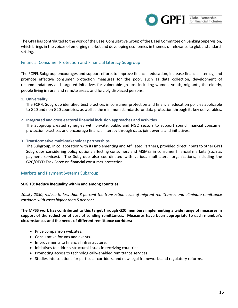

The GPFI has contributed to the work of the Basel Consultative Group of the Basel Committee on Banking Supervision, which brings in the voices of emerging market and developing economies in themes of relevance to global standardsetting.

## Financial Consumer Protection and Financial Literacy Subgroup

The FCPFL Subgroup encourages and support efforts to improve financial education, increase financial literacy, and promote effective consumer protection measures for the poor, such as data collection, development of recommendations and targeted initiatives for vulnerable groups, including women, youth, migrants, the elderly, people living in rural and remote areas, and forcibly displaced persons.

#### **1. Universality**

The FCPFL Subgroup identified best practices in consumer protection and financial education policies applicable to G20 and non G20 countries, as well as the minimum standards for data protection through its key deliverables.

#### **2. Integrated and cross-sectoral financial inclusion approaches and activities**

The Subgroup created synergies with private, public and NGO sectors to support sound financial consumer protection practices and encourage financial literacy through data, joint events and initiatives.

### **3. Transformative multi-stakeholder partnerships**

The Subgroup, in collaboration with its Implementing and Affiliated Partners, provided direct inputs to other GPFI Subgroups considering policy options affecting consumers and MSMEs in consumer financial markets (such as payment services). The Subgroup also coordinated with various multilateral organizations, including the G20/OECD Task Force on financial consumer protection.

### Markets and Payment Systems Subgroup

### **SDG 10: Reduce inequality within and among countries**

*10c.By 2030, reduce to less than 3 percent the transaction costs of migrant remittances and eliminate remittance corridors with costs higher than 5 per cent.* 

**The MPSS work has contributed to this target through G20 members implementing a wide range of measures in support of the reduction of cost of sending remittances. Measures have been appropriate to each member's circumstances and the needs of different remittance corridors:** 

- Price comparison websites.
- Consultative forums and events.
- Improvements to financial infrastructure.
- Initiatives to address structural issues in receiving countries.
- Promoting access to technologically-enabled remittance services.
- Studies into solutions for particular corridors, and new legal frameworks and regulatory reforms.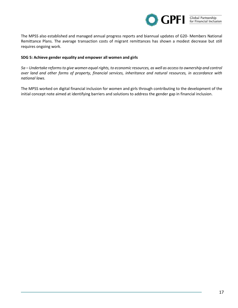

The MPSS also established and managed annual progress reports and biannual updates of G20- Members National Remittance Plans. The average transaction costs of migrant remittances has shown a modest decrease but still requires ongoing work.

#### **SDG 5: Achieve gender equality and empower all women and girls**

*5a – Undertake reforms to give women equal rights, to economic resources, as well as access to ownership and control over land and other forms of property, financial services, inheritance and natural resources, in accordance with national laws.*

The MPSS worked on digital financial inclusion for women and girls through contributing to the development of the initial concept note aimed at identifying barriers and solutions to address the gender gap in financial inclusion.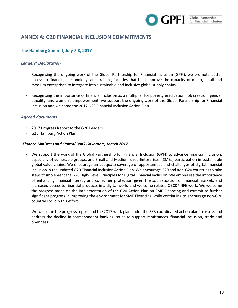

# **ANNEX A: G20 FINANCIAL INCLUSION COMMITMENTS**

## **The Hamburg Summit, July 7-8, 2017**

## *Leaders' Declaration*

- Recognising the ongoing work of the Global Partnership for Financial Inclusion (GPFI), we promote better access to financing, technology, and training facilities that help improve the capacity of micro, small and medium enterprises to integrate into sustainable and inclusive global supply chains.
- Recognising the importance of financial inclusion as a multiplier for poverty eradication, job creation, gender equality, and women's empowerment, we support the ongoing work of the Global Partnership for Financial Inclusion and welcome the 2017 G20 Financial Inclusion Action Plan.

### *Agreed documents*

- [2017 Progress Report to the G20 Leaders](https://www.gpfi.org/sites/gpfi/files/documents/Final%20GPFI%20Progress%20Report%20to%20the%20G20%20Leaders%20endorsed.pdf)
- G20 Hamburg Action Plan

#### *Finance Ministers and Central Bank Governors, March 2017*

- We support the work of the Global Partnership for Financial Inclusion (GPFI) to advance financial inclusion, especially of vulnerable groups, and Small and Medium-sized Enterprises' (SMEs) participation in sustainable global value chains. We encourage an adequate coverage of opportunities and challenges of digital financial inclusion in the updated G20 Financial Inclusion Action Plan. We encourage G20 and non-G20 countries to take steps to implement the G20 High- Level Principles for Digital Financial Inclusion. We emphasise the importance of enhancing financial literacy and consumer protection given the sophistication of financial markets and increased access to financial products in a digital world and welcome related OECD/INFE work. We welcome the progress made on the implementation of the G20 Action Plan on SME Financing and commit to further significant progress in improving the environment for SME Financing while continuing to encourage non-G20 countries to join this effort.
- We welcome the progress report and the 2017 work plan under the FSB-coordinated action plan to assess and address the decline in correspondent banking, so as to support remittances, financial inclusion, trade and openness.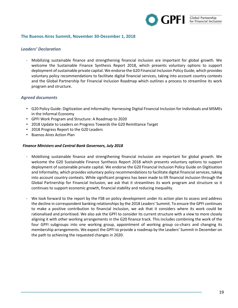

### **The Buenos Aires Summit, November 30-December 1, 2018**

## *Leaders' Declaration*

- Mobilizing sustainable finance and strengthening financial inclusion are important for global growth. We welcome the Sustainable Finance Synthesis Report 2018, which presents voluntary options to support deployment of sustainable private capital. We endorse the G20 Financial Inclusion Policy Guide, which provides voluntary policy recommendations to facilitate digital financial services, taking into account country contexts and the Global Partnership for Financial Inclusion Roadmap which outlines a process to streamline its work program and structure.

## *Agreed documents*

- G20 Policy Guide: [Digitization and Informality: Harnessing Digital Financial Inclusion for Individuals and MSMEs](http://www.g20.utoronto.ca/2018/g20_policy_guide_-_digitization_informality.pdf)  [in the Informal Economy](http://www.g20.utoronto.ca/2018/g20_policy_guide_-_digitization_informality.pdf)
- [GPFI Work Program and Structure: A Roadmap to 2020](http://www.g20.utoronto.ca/2018/gpfi_work_program_and_structure_-_a_roadmap_to_2020.pdf)
- [2018 Update to Leaders on Progress Towards the G20 Remittance Target](http://www.g20.utoronto.ca/2018/2018_update_to_leaders_on_progress_towards_the_g20_remittance_target.pdf)
- [2018 Progress Report to the G20 Leaders](http://www.g20.utoronto.ca/2018/2018_progress_report_to_the_g20_leaders.pdf)
- Buenos Aires Action Plan

### *Finance Ministers and Central Bank Governors, July 2018*

- Mobilising sustainable finance and strengthening financial inclusion are important for global growth. We welcome the G20 Sustainable Finance Synthesis Report 2018 which presents voluntary options to support deployment of sustainable private capital. We endorse the G20 Financial Inclusion Policy Guide on Digitisation and Informality, which provides voluntary policy recommendations to facilitate digital financial services, taking into account country contexts. While significant progress has been made to lift financial inclusion through the Global Partnership for Financial Inclusion, we ask that it streamlines its work program and structure so it continues to support economic growth, financial stability and reducing inequality.
- We look forward to the report by the FSB on policy development under its action plan to assess and address the decline in correspondent banking relationships by the 2018 Leaders' Summit. To ensure the GPFI continues to make a positive contribution to financial inclusion, we ask that it considers where its work could be rationalised and prioritised. We also ask the GPFI to consider its current structure with a view to more closely aligning it with other working arrangements in the G20 finance track. This includes combining the work of the four GPFI subgroups into one working group, appointment of working group co-chairs and changing its membership arrangements. We expect the GPFI to provide a roadmap by the Leaders' Summit in December on the path to achieving the requested changes in 2020.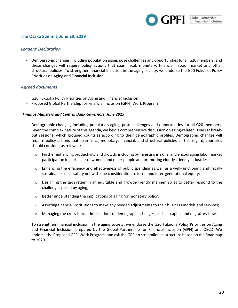

## **The Osaka Summit, June 29, 2019**

## *Leaders' Declaration*

- Demographic changes, including population aging, pose challenges and opportunities for all G20 members, and these changes will require policy actions that span fiscal, monetary, financial, labour market and other structural policies. To strengthen financial inclusion in the aging society, we endorse the G20 Fukuoka Policy Priorities on Aging and Financial Inclusion.

## *Agreed documents*

- G20 Fukuoka Policy Priorities on Aging and Financial Inclusion
- Proposed Global Partnership for Financial Inclusion (GPFI) Work Program

### *Finance Ministers and Central Bank Governors, June 2019*

- Demographic changes, including population aging, pose challenges and opportunities for all G20 members. Given the complex nature of this agenda, we held a comprehensive discussion on aging-related issues at breakout sessions, which grouped countries according to their demographic profiles. Demographic changes will require policy actions that span fiscal, monetary, financial, and structural policies. In this regard, countries should consider, as relevant:
	- $\circ$  Further enhancing productivity and growth, including by investing in skills, and encouraging labor market participation in particular of women and older people and promoting elderly-friendly industries;
	- $\circ$  Enhancing the efficiency and effectiveness of public spending as well as a well-functioning and fiscally sustainable social safety net with due consideration to intra- and inter-generational equity;
	- $\circ$  Designing the tax system in an equitable and growth-friendly manner, so as to better respond to the challenges posed by aging;
	- $\circ$  Better understanding the implications of aging for monetary policy;
	- $\circ$  Assisting financial institutions to make any needed adjustments to their business models and services;
	- o Managing the cross-border implications of demographic changes, such as capital and migratory flows.

To strengthen financial inclusion in the aging society, we endorse the G20 Fukuoka Policy Priorities on Aging and Financial Inclusion, prepared by the Global Partnership for Financial Inclusion (GPFI) and OECD. We endorse the Proposed GPFI Work Program, and ask the GPFI to streamline its structure based on the Roadmap to 2020.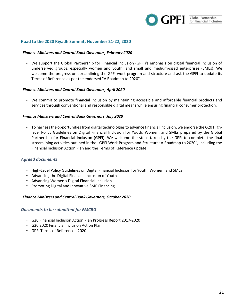

#### **[Road to the 2020 Riyadh Summit,](http://www.g20.utoronto.ca/2020/2020-road.html) November 21-22, 2020**

#### *Finance Ministers and Central Bank Governors, February 2020*

- We support the Global Partnership for Financial Inclusion (GPFI)'s emphasis on digital financial inclusion of underserved groups, especially women and youth, and small and medium-sized enterprises (SMEs). We welcome the progress on streamlining the GPFI work program and structure and ask the GPFI to update its Terms of Reference as per the endorsed "A Roadmap to 2020".

#### *Finance Ministers and Central Bank Governors, April 2020*

- We commit to promote financial inclusion by maintaining accessible and affordable financial products and services through conventional and responsible digital means while ensuring financial consumer protection.

#### *Finance Ministers and Central Bank Governors, July 2020*

- To harness the opportunities from digital technologies to advance financial inclusion, we endorse the G20 Highlevel Policy Guidelines on Digital Financial Inclusion for Youth, Women, and SMEs prepared by the Global Partnership for Financial Inclusion (GPFI). We welcome the steps taken by the GPFI to complete the final streamlining activities outlined in the "GPFI Work Program and Structure: A Roadmap to 2020", including the Financial Inclusion Action Plan and the Terms of Reference update.

#### *Agreed documents*

- [High-Level Policy Guidelines on Digital Financial Inclusion for Youth, Women, and SMEs](https://www.gpfi.org/sites/gpfi/files/saudiG20_youth_women_SME.pdf)
- [Advancing the Digital Financial Inclusion of Youth](https://www.gpfi.org/sites/gpfi/files/saudiG20_digitalyouth.pdf)
- [Advancing Women's Digital Financial Inclusion](https://www.gpfi.org/sites/gpfi/files/sites/default/files/saudig20_women.pdf)
- [Promoting Digital and Innovative SME Financing](https://www.gpfi.org/sites/gpfi/files/saudi_digitalSME.pdf)

#### *Finance Ministers and Central Bank Governors, October 2020*

#### *Documents to be submitted for FMCBG*

- G20 Financial Inclusion Action Plan Progress Report 2017-2020
- G20 2020 Financial Inclusion Action Plan
- GPFI Terms of Reference 2020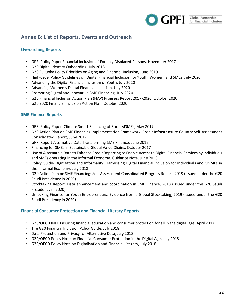

# **Annex B: List of Reports, Events and Outreach**

## **Overarching Reports**

- GPFI Policy Paper Financial Inclusion of Forcibly Displaced Persons, November 2017
- G20 Digital Identity Onboarding, July 2018
- [G20 Fukuoka Policy Priorities on Aging and Financial Inclusion,](https://www.gpfi.org/sites/gpfi/files/documents/G20%20Fukuoka%20Policy%20Priorities%20on%20Aging%20and%20Financial%20Inclusion.pdf) June 2019
- [High-Level Policy Guidelines on Digital Financial Inclusion for Youth, Women, and SMEs, July](https://www.gpfi.org/sites/gpfi/files/saudiG20_youth_women_SME.pdf) 2020
- [Advancing the Digital Financial Inclusion of Youth, July](https://www.gpfi.org/sites/gpfi/files/saudiG20_digitalyouth.pdf) 2020
- [Advancing Women's Digital Financial Inclusion,](https://www.gpfi.org/sites/gpfi/files/sites/default/files/saudig20_women.pdf) July 2020
- [Promoting Digital and Innovative SME Financing, July](https://www.gpfi.org/sites/gpfi/files/saudi_digitalSME.pdf) 2020
- G20 Financial Inclusion Action Plan (FIAP) Progress Report 2017-2020, October 2020
- G20 2020 Financial Inclusion Action Plan, October 2020

## **SME Finance Reports**

- GPFI Policy Paper: Climate Smart Financing of Rural MSMEs, May 2017
- G20 Action Plan on SME Financing Implementation Framework: Credit Infrastructure Country Self-Assessment Consolidated Report, June 2017
- GPFI Report Alternative Data Transforming SME Finance, June 2017
- Financing for SMEs in Sustainable Global Value Chains, October 2017
- Use of Alternative Data to Enhance Credit Reporting to Enable Access to Digital Financial Services by Individuals and SMEs operating in the Informal Economy. Guidance Note, June 2018
- Policy Guide- Digitization and Informality: Harnessing Digital Financial Inclusion for Individuals and MSMEs in the Informal Economy, July 2018
- G20 Action Plan on SME Financing: Self-Assessment Consolidated Progress Report, 2019 (issued under the G20 Saudi Presidency in 2020)
- Stocktaking Report: Data enhancement and coordination in SME Finance, 2018 (issued under the G20 Saudi Presidency in 2020)
- Unlocking Finance for Youth Entrepreneurs: Evidence from a Global Stocktaking, 2019 (issued under the G20 Saudi Presidency in 2020)

## **Financial Consumer Protection and Financial Literacy Reports**

- [G20/OECD INFE Ensuring financial education and consumer protection for all in the digital age,](https://www.gpfi.org/sites/gpfi/files/documents/09%20G20-OECD-INFE-Report-Financial-Education-Consumer-Protection-Digital-Age.pdf) April 2017
- The G20 Financial Inclusion Policy Guide, July 2018
- Data Protection and Privacy for Alternative Data, July 2018
- [G20/OECD Policy Note on Financial Consumer Protection in the Digital Age,](https://www.oecd.org/daf/fin/financial-education/G20-OECD-Policy-Guidance-Financial-Consumer-Protection-Digital-Age-2018.pdf) July 2018
- [G20/OECD Policy Note on Digitalisation and Financial Literacy,](http://www.oecd.org/finance/G20-OECD-INFE-Policy-Guidance-Digitalisation-Financial-Literacy-2018.pdf) July 2018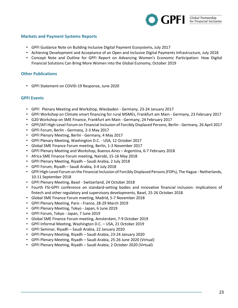

## **Markets and Payment Systems Reports**

- GPFI Guidance Note on Building Inclusive Digital Payment Ecosystems, July 2017
- Achieving Development and Acceptance of an Open and Inclusive Digital Payments Infrastructure, July 2018
- Concept Note and Outline for GPFI Report on Advancing Women's Economic Participation: How Digital Financial Solutions Can Bring More Women into the Global Economy, October 2019

### **Other Publications**

• [GPFI Statement on COVID-19 Response, June](https://www.gpfi.org/sites/gpfi/files/sites/default/files/covid%20statement.pdf) 2020

#### **GPFI Events**

- GPFI Plenary Meeting and Workshop, Wiesbaden Germany, 23-24 January 2017
- [GPFI Workshop on Climate smart financing for rural MSMEs,](https://www.gpfi.org/sites/default/files/events/Invitation%20Climate%20smart%20financing%20for%20MSMEs.pdf) Frankfurt am Main Germany, 23 February 2017
- G20 Workshop on SME Finance, Frankfurt am Main Germany, 24 February 2017
- GPFI/AFI High-Level Forum on Financial Inclusion of Forcibly Displaced Persons, Berlin Germany, 26 April 2017
- GPFI Forum, Berlin Germany, 2-3 May 2017
- GPFI Plenary Meeting, Berlin Germany, 4 May 2017
- GPFI Plenary Meeting, Washington D.C. USA, 12 October 2017
- Global SME Finance Forum meeting, Berlin, 1-3 November 2017
- GPFI Plenary Meeting and Workshop, Buenos Aires Argentina, 6-7 February 2018
- Africa SME Finance Forum meeting, Nairobi, 15-16 May 2018
- GPFI Plenary Meeting, Riyadh Saudi Arabia, 2 July 2018
- GPFI Forum, Riyadh Saudi Arabia, 3-4 July 2018
- GPFI High-Level Forum on the Financial Inclusion of Forcibly Displaced Persons (FDPs), The Hague Netherlands, 10-11 September 2018
- GPFI Plenary Meeting, Basel Switzerland, 24 October 2018
- Fourth FSI-GPFI conference on standard-setting bodies and innovative financial inclusion: implications of fintech and other regulatory and supervisory developments, Basel, 25-26 October 2018
- Global SME Finance Forum meeting, Madrid, 5-7 November 2018
- GPFI Plenary Meeting, Paris France, 28-29 March 2019
- GPFI Plenary Meeting, Tokyo Japan, 6 June 2019
- GPFI Forum, Tokyo Japan, 7 June 2019
- Global SME Finance Forum meeting, Amsterdam, 7-9 October 2019
- GPFI Informal Meeting, Washington D.C. USA, 21 October 2019
- GPFI Seminar, Riyadh Saudi Arabia, 22 January 2020
- GPFI Plenary Meeting, Riyadh Saudi Arabia, 23-24 January 2020
- GPFI Plenary Meeting, Riyadh Saudi Arabia, 25-26 June 2020 (Virtual)
- GPFI Plenary Meeting, Riyadh Saudi Arabia, 2 October 2020 (Virtual)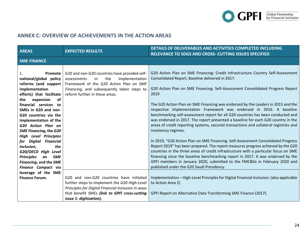

# **ANNEX C: OVERVIEW OF ACHIEVEMENTS IN THE ACTION AREAS**

| <b>AREAS</b>                                                                                                                                                                                                                                                                                                                                                                                                                                                              | <b>EXPECTED RESULTS</b>                                                                                                                                                                                                     | DETAILS OF DELIVERABLES AND ACTIVITIES COMPLETED INCLUDING<br>RELEVANCE TO SDGS AND CROSS- CUTTING ISSUES SPECIFIED                                                                                                                                                                                                                                                                                                                                                                                                                                                                                                                                                                                                                                                                                                                                                                                                                                                                                                                                                                                                                                                |
|---------------------------------------------------------------------------------------------------------------------------------------------------------------------------------------------------------------------------------------------------------------------------------------------------------------------------------------------------------------------------------------------------------------------------------------------------------------------------|-----------------------------------------------------------------------------------------------------------------------------------------------------------------------------------------------------------------------------|--------------------------------------------------------------------------------------------------------------------------------------------------------------------------------------------------------------------------------------------------------------------------------------------------------------------------------------------------------------------------------------------------------------------------------------------------------------------------------------------------------------------------------------------------------------------------------------------------------------------------------------------------------------------------------------------------------------------------------------------------------------------------------------------------------------------------------------------------------------------------------------------------------------------------------------------------------------------------------------------------------------------------------------------------------------------------------------------------------------------------------------------------------------------|
| <b>SME FINANCE</b>                                                                                                                                                                                                                                                                                                                                                                                                                                                        |                                                                                                                                                                                                                             |                                                                                                                                                                                                                                                                                                                                                                                                                                                                                                                                                                                                                                                                                                                                                                                                                                                                                                                                                                                                                                                                                                                                                                    |
| 1.<br>Promote<br>national/global policy<br>reforms (and support<br>implementation<br>efforts) that facilitate<br>expansion<br>of<br>the<br>financial services to<br>SMEs in G20 and non-<br>G20 countries via the<br>Implementation of the<br>G20 Action Plan on<br><b>SME Financing, the G20</b><br><b>High Level Principles</b><br>for Digital Financial<br>Inclusion,<br>the<br>G20/OECD High Level<br><b>Principles</b><br><b>SME</b><br>on<br>Financing, and the SME | G20 and non-G20 countries have provided self-<br>the<br>Implementation<br>in<br>assessments<br>Framework of the G20 Action Plan on SME<br>Financing, and subsequently taken steps to<br>reform further in these areas.      | G20 Action Plan on SME Financing: Credit Infrastructure Country Self-Assessment<br>Consolidated Report, Baseline delivered in 2017.<br>G20 Action Plan on SME Financing: Self-Assessment Consolidated Progress Report<br>2019<br>The G20 Action Plan on SME Financing was endorsed by the Leaders in 2015 and the<br>respective Implementation Framework was endorsed in 2016. A baseline<br>benchmarking self-assessment report for all G20 countries has been conducted and<br>was endorsed in 2017. The report presented a baseline for each G20 country in the<br>areas of credit reporting systems, secured transactions and collateral registries and<br>insolvency regimes.<br>In 2019, "G20 Action Plan on SME Financing: Self-Assessment Consolidated Progress<br>Report 2019" has been prepared. The report measures progress achieved by the G20<br>countries in the three areas of credit infrastructure with a particular focus on SME<br>financing since the baseline benchmarking report in 2017. It was endorsed by the<br>GPFI members in January 2020, submitted to the FMCBGs in February 2020 and<br>published under the G20 Saudi Presidency. |
| Finance Compact via<br>leverage of the SME<br><b>Finance Forum.</b>                                                                                                                                                                                                                                                                                                                                                                                                       | G20 and non-G20 countries have initiated<br>further steps to implement the G20 High-Level<br>Principles for Digital Financial Inclusion in ways<br>that benefit SMEs (link to GPFI cross-cutting<br>issue 1: digitization). | Implementation - High-Level Principles for Digital Financial Inclusion: (also applicable<br>to Action Area 2)<br>GPFI Report on Alternative Data Transforming SME Finance (2017).                                                                                                                                                                                                                                                                                                                                                                                                                                                                                                                                                                                                                                                                                                                                                                                                                                                                                                                                                                                  |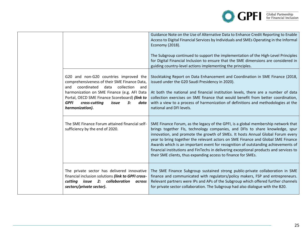

|                                                                                                                                                                                                                                                                                                                     | Guidance Note on the Use of Alternative Data to Enhance Credit Reporting to Enable<br>Access to Digital Financial Services by Individuals and SMEs Operating in the Informal<br>Economy (2018).<br>The Subgroup continued to support the implementation of the High-Level Principles<br>for Digital Financial Inclusion to ensure that the SME dimensions are considered in<br>guiding country-level actions implementing the principles.                                                                                                                                               |
|---------------------------------------------------------------------------------------------------------------------------------------------------------------------------------------------------------------------------------------------------------------------------------------------------------------------|-----------------------------------------------------------------------------------------------------------------------------------------------------------------------------------------------------------------------------------------------------------------------------------------------------------------------------------------------------------------------------------------------------------------------------------------------------------------------------------------------------------------------------------------------------------------------------------------|
| G20 and non-G20 countries improved the<br>comprehensiveness of their SME Finance Data,<br>coordinated<br>collection<br>data<br>and<br>and<br>harmonization on SME Finance (e.g. AFI Data<br>Portal, OECD SME Finance Scoreboard) (link to<br><b>GPFI</b><br>cross-cutting<br>3:<br>data<br>issue<br>harmonization). | Stocktaking Report on Data Enhancement and Coordination in SME Finance (2018,<br>issued under the G20 Saudi Presidency in 2020).<br>At both the national and financial institution levels, there are a number of data<br>collection exercises on SME finance that would benefit from better coordination,<br>with a view to a process of harmonization of definitions and methodologies at the<br>national and DFI levels.                                                                                                                                                              |
| The SME Finance Forum attained financial self-<br>sufficiency by the end of 2020.                                                                                                                                                                                                                                   | SME Finance Forum, as the legacy of the GPFI, is a global membership network that<br>brings together FIs, technology companies, and DFIs to share knowledge, spur<br>innovation, and promote the growth of SMEs. It hosts Annual Global Forum every<br>year to bring together the relevant actors on SME Finance and Global SME Finance<br>Awards which is an important event for recognition of outstanding achievements of<br>financial institutions and FinTechs in delivering exceptional products and services to<br>their SME clients, thus expanding access to finance for SMEs. |
| The private sector has delivered innovative<br>financial inclusion solutions (link to GPFI cross-<br>cutting issue 2: collaboration<br>across<br>sectors/private sector).                                                                                                                                           | The SME Finance Subgroup sustained strong public-private collaboration in SME<br>finance and communicated with regulators/policy makers, FSP and entrepreneurs.<br>Relevant partners were IPs and APs of the Subgroup which offered further channels<br>for private sector collaboration. The Subgroup had also dialogue with the B20.                                                                                                                                                                                                                                                  |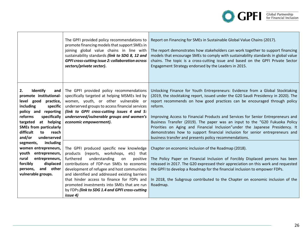

|                                                                                                                                                                                                                                                                                                                                                                                                                                                  | The GPFI provided policy recommendations to<br>promote financing models that support SMEs in<br>joining global value chains in line with<br>sustainability standards (link to SDG 8, 12 and<br><b>GPFI cross-cutting issue 2: collaboration across</b><br>sectors/private sector).                                                                                                                                                               | Report on Financing for SMEs in Sustainable Global Value Chains (2017).<br>The report demonstrates how stakeholders can work together to support financing<br>models that encourage SMEs to comply with sustainability standards in global value<br>chains. The topic is a cross-cutting issue and based on the GPFI Private Sector<br>Engagement Strategy endorsed by the Leaders in 2015.                                                                                                                                                                                                                                                              |
|--------------------------------------------------------------------------------------------------------------------------------------------------------------------------------------------------------------------------------------------------------------------------------------------------------------------------------------------------------------------------------------------------------------------------------------------------|--------------------------------------------------------------------------------------------------------------------------------------------------------------------------------------------------------------------------------------------------------------------------------------------------------------------------------------------------------------------------------------------------------------------------------------------------|----------------------------------------------------------------------------------------------------------------------------------------------------------------------------------------------------------------------------------------------------------------------------------------------------------------------------------------------------------------------------------------------------------------------------------------------------------------------------------------------------------------------------------------------------------------------------------------------------------------------------------------------------------|
| Identify<br>2.<br>and<br>promote institutional-<br>level good practice,<br>including<br>specific<br>policy and reporting<br>specifically<br>reforms<br>at helping<br>targeted<br><b>SMEs from particularly</b><br>difficult<br>to<br>reach<br>and/or<br>underserved<br>including<br>segments,<br>women entrepreneurs,<br>youth entrepreneurs,<br>rural<br>entrepreneurs,<br>forcibly<br>displaced<br>and other<br>persons,<br>vulnerable groups. | The GPFI provided policy recommendations<br>specifically targeted at helping MSMEs led by<br>women, youth, or other vulnerable or<br>underserved groups to access financial services<br>(link to GPFI cross-cutting issues 4 and 5:<br>underserved/vulnerable groups and women's<br>economic empowerment).                                                                                                                                       | Unlocking Finance for Youth Entrepreneurs: Evidence from a Global Stocktaking<br>(2019, the stocktaking report, issued under the G20 Saudi Presidency in 2020). The<br>report recommends on how good practices can be encouraged through policy<br>reform.<br>Improving Access to Financial Products and Services for Senior Entrepreneurs and<br>Business Transfer (2019). The paper was an input to the "G20 Fukuoka Policy<br>Priorities on Aging and Financial Inclusion"under the Japanese Presidency. It<br>demonstrates how to support financial inclusion for senior entrepreneurs and<br>business transfer and presents policy recommendations. |
|                                                                                                                                                                                                                                                                                                                                                                                                                                                  | The GPFI produced specific new knowledge<br>products (reports, workshops,<br>etc) that<br>furthered<br>understanding<br>on<br>positive<br>contributions of FDP-run SMEs to economic<br>development of refugee and host communities<br>and identified and addressed existing barriers<br>that hinder access to finance for FDPs and<br>promoted investments into SMEs that are run<br>by FDPs (link to SDG 1.4 and GPFI cross-cutting<br>issue 4) | Chapter on economic inclusion of the Roadmap (2018).<br>The Policy Paper on Financial Inclusion of Forcibly Displaced persons has been<br>released in 2017. The G20 expressed their appreciation on this work and requested<br>the GPFI to develop a Roadmap for the financial inclusion to empower FDPs.<br>In 2018, the Subgroup contributed to the Chapter on economic inclusion of the<br>Roadmap.                                                                                                                                                                                                                                                   |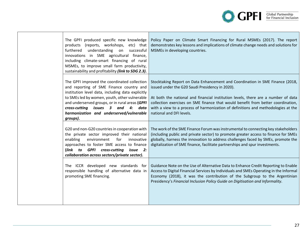

| The GPFI produced specific new knowledge<br>(reports, workshops,<br>products<br>etc) that<br>understanding on<br>furthered<br>successful<br>innovations in SME agricultural finance,<br>including climate-smart financing of rural<br>MSMEs, to improve small farm productivity,<br>sustainability and profitability (link to SDG 2.3).            | Policy Paper on Climate Smart Financing for Rural MSMEs (2017). The report<br>demonstrates key lessons and implications of climate change needs and solutions for<br>MSMEs in developing countries.                                                                                                                                                                                                                        |
|----------------------------------------------------------------------------------------------------------------------------------------------------------------------------------------------------------------------------------------------------------------------------------------------------------------------------------------------------|----------------------------------------------------------------------------------------------------------------------------------------------------------------------------------------------------------------------------------------------------------------------------------------------------------------------------------------------------------------------------------------------------------------------------|
| The GPFI improved the coordinated collection<br>and reporting of SME Finance country and<br>institution level data, including data explicitly<br>to SMEs led by women, youth, other vulnerable<br>and underserved groups, or in rural areas (GPFI<br>issues 3 and 4: data<br>cross-cutting<br>harmonization and underserved/vulnerable<br>groups). | Stocktaking Report on Data Enhancement and Coordination in SME Finance (2018,<br>issued under the G20 Saudi Presidency in 2020).<br>At both the national and financial institution levels, there are a number of data<br>collection exercises on SME finance that would benefit from better coordination,<br>with a view to a process of harmonization of definitions and methodologies at the<br>national and DFI levels. |
| G20 and non-G20 countries in cooperation with<br>the private sector improved their national<br>enabling<br>environment<br>for<br>innovative<br>approaches to foster SME access to finance<br>(link to GPFI cross-cutting<br>issue 2:<br>collaboration across sectors/private sector).                                                              | The work of the SME Finance Forum was instrumental to connecting key stakeholders<br>(including public and private sector) to promote greater access to finance for SMEs<br>globally, harness the innovation to address challenges faced by SMEs, promote the<br>digitalization of SME finance, facilitate partnerships and spur investments.                                                                              |
| The ICCR developed new standards for<br>responsible handling of alternative data in<br>promoting SME financing.                                                                                                                                                                                                                                    | Guidance Note on the Use of Alternative Data to Enhance Credit Reporting to Enable<br>Access to Digital Financial Services by Individuals and SMEs Operating in the Informal<br>Economy (2018), it was the contribution of the Subgroup to the Argentinian<br>Presidency's Financial Inclusion Policy Guide on Digitisation and Informality.                                                                               |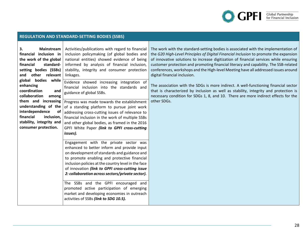

|                                                                                                                                                                                                                                                                                                                                                                                                  | <b>REGULATION AND STANDARD-SETTING BODIES (SSBS)</b>                                                                                                                                                                                                                                                                                                                                                                                                                                                                                                                                                                                                                                                   |                                                                                                                                                                                                                                                                                                                                                                                                                                                                                                                                                                                                                                                                                                                                                                        |
|--------------------------------------------------------------------------------------------------------------------------------------------------------------------------------------------------------------------------------------------------------------------------------------------------------------------------------------------------------------------------------------------------|--------------------------------------------------------------------------------------------------------------------------------------------------------------------------------------------------------------------------------------------------------------------------------------------------------------------------------------------------------------------------------------------------------------------------------------------------------------------------------------------------------------------------------------------------------------------------------------------------------------------------------------------------------------------------------------------------------|------------------------------------------------------------------------------------------------------------------------------------------------------------------------------------------------------------------------------------------------------------------------------------------------------------------------------------------------------------------------------------------------------------------------------------------------------------------------------------------------------------------------------------------------------------------------------------------------------------------------------------------------------------------------------------------------------------------------------------------------------------------------|
| 3.<br><b>Mainstream</b><br>financial inclusion in<br>the work of the global<br>financial<br>standard-<br>setting bodies (SSBs)<br>and other relevant<br>global bodies while<br>enhancing<br>coordination<br>and<br>collaboration<br>among<br>them and increasing<br>understanding of the<br>interdependence<br>of<br>financial<br>inclusion,<br>stability, integrity and<br>consumer protection. | Activities/publications with regard to financial<br>inclusion policymaking (of global bodies and<br>national entities) showed evidence of being<br>informed by analysis of financial inclusion,<br>stability, integrity and consumer protection<br>linkages.<br>Evidence showed increasing integration of<br>financial inclusion into the standards and<br>guidance of global SSBs.<br>Progress was made towards the establishment<br>of a standing platform to pursue joint work<br>addressing cross-cutting issues of relevance to<br>financial inclusion in the work of multiple SSBs<br>and other global bodies, as framed in the 2016<br>GPFI White Paper (link to GPFI cross-cutting<br>issues). | The work with the standard-setting bodies is associated with the implementation of<br>the G20 High-Level Principles of Digital Financial Inclusion to promote the expansion<br>of innovative solutions to increase digitization of financial services while ensuring<br>customer protection and promoting financial literacy and capability. The SSB-related<br>conferences, workshops and the High-level Meeting have all addressed issues around<br>digital financial inclusion.<br>The association with the SDGs is more indirect. A well-functioning financial sector<br>that is characterized by inclusion as well as stability, integrity and protection is<br>necessary condition for SDGs 1, 8, and 10. There are more indirect effects for the<br>other SDGs. |
|                                                                                                                                                                                                                                                                                                                                                                                                  | Engagement with the private sector was<br>enhanced to better inform and provide input<br>on development of standards and guidance and<br>to promote enabling and protective financial<br>inclusion policies at the country level in the face<br>of innovation (link to GPFI cross-cutting issue<br>2: collaboration across sectors/private sector).<br>The SSBs and the GPFI encouraged and<br>promoted active participation of emerging<br>market and developing economies in outreach<br>activities of SSBs (link to SDG 10.5).                                                                                                                                                                      |                                                                                                                                                                                                                                                                                                                                                                                                                                                                                                                                                                                                                                                                                                                                                                        |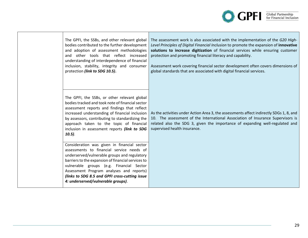

|  | The GPFI, the SSBs, and other relevant global<br>bodies contributed to the further development<br>and adoption of assessment methodologies<br>and other tools that reflect increased<br>understanding of interdependence of financial<br>inclusion, stability, integrity and consumer<br>protection (link to SDG 10.5).                                                        | The assessment work is also associated with the implementation of the G20 High-<br>Level Principles of Digital Financial Inclusion to promote the expansion of innovative<br>solutions to increase digitization of financial services while ensuring customer<br>protection and promoting financial literacy and capability.<br>Assessment work covering financial sector development often covers dimensions of<br>global standards that are associated with digital financial services. |
|--|--------------------------------------------------------------------------------------------------------------------------------------------------------------------------------------------------------------------------------------------------------------------------------------------------------------------------------------------------------------------------------|-------------------------------------------------------------------------------------------------------------------------------------------------------------------------------------------------------------------------------------------------------------------------------------------------------------------------------------------------------------------------------------------------------------------------------------------------------------------------------------------|
|  | The GPFI, the SSBs, or other relevant global<br>bodies tracked and took note of financial sector<br>assessment reports and findings that reflect<br>increased understanding of financial inclusion<br>by assessors, contributing to standardizing the<br>approach taken to the topic of financial<br>inclusion in assessment reports (link to SDG<br>$10.5$ ).                 | As the activities under Action Area 3, the assessments affect indirectly SDGs 1, 8, and<br>10. The assessment of the International Association of Insurance Supervisors is<br>related also the SDG 3, given the importance of expanding well-regulated and<br>supervised health insurance.                                                                                                                                                                                                |
|  | Consideration was given in financial sector<br>assessments to financial service needs of<br>underserved/vulnerable groups and regulatory<br>barriers to the expansion of financial services to<br>vulnerable groups (e.g. Financial Sector<br>Assessment Program analyses and reports)<br>(links to SDG 8.5 and GPFI cross-cutting issue<br>4: underserved/vulnerable groups). |                                                                                                                                                                                                                                                                                                                                                                                                                                                                                           |

П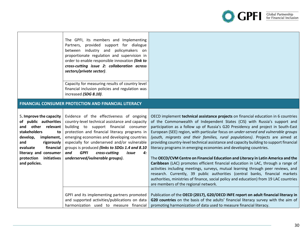**OPFI** Global Partnership

|                                                                                                                                                                                                                                                       | The GPFI, its members and Implementing<br>Partners, provided support for dialogue<br>between industry and policymakers on<br>proportionate regulation and supervision in<br>order to enable responsible innovation (link to<br>cross-cutting issue 2: collaboration across<br>sectors/private sector).                                                                                                                           |                                                                                                                                                                                                                                                                                                                                                                                                                                                                                                                                                                                                                                                                                                                                                                                                                                                                                                                                                                                                                                                                              |
|-------------------------------------------------------------------------------------------------------------------------------------------------------------------------------------------------------------------------------------------------------|----------------------------------------------------------------------------------------------------------------------------------------------------------------------------------------------------------------------------------------------------------------------------------------------------------------------------------------------------------------------------------------------------------------------------------|------------------------------------------------------------------------------------------------------------------------------------------------------------------------------------------------------------------------------------------------------------------------------------------------------------------------------------------------------------------------------------------------------------------------------------------------------------------------------------------------------------------------------------------------------------------------------------------------------------------------------------------------------------------------------------------------------------------------------------------------------------------------------------------------------------------------------------------------------------------------------------------------------------------------------------------------------------------------------------------------------------------------------------------------------------------------------|
|                                                                                                                                                                                                                                                       | Capacity for measuring results of country level<br>financial inclusion policies and regulation was<br>increased (SDG 8.10).                                                                                                                                                                                                                                                                                                      |                                                                                                                                                                                                                                                                                                                                                                                                                                                                                                                                                                                                                                                                                                                                                                                                                                                                                                                                                                                                                                                                              |
|                                                                                                                                                                                                                                                       | FINANCIAL CONSUMER PROTECTION AND FINANCIAL LITERACY                                                                                                                                                                                                                                                                                                                                                                             |                                                                                                                                                                                                                                                                                                                                                                                                                                                                                                                                                                                                                                                                                                                                                                                                                                                                                                                                                                                                                                                                              |
| 5. Improve the capacity<br>of public authorities<br>other relevant<br>and<br><b>stakeholders</b><br>to<br>develop,<br>implement,<br>rigorously<br>and<br>financial<br>evaluate<br>literacy and consumer<br>protection<br>initiatives<br>and policies. | Evidence of the effectiveness of ongoing<br>country-level technical assistance and capacity<br>building to support financial consumer<br>protection and financial literacy programs in<br>emerging economies and developing countries<br>especially for underserved and/or vulnerable<br>groups is produced (links to SDGs 1.4 and 8.10<br>and<br><b>GPFI</b><br>cross-cutting<br>issue<br>4:<br>underserved/vulnerable groups). | OECD implement technical assistance projects on financial education in 6 countries<br>of the Commonwealth of Independent States (CIS) with Russia's support and<br>participation as a follow up of Russia's G20 Presidency and project in South-East<br>European (SEE) region, with particular focus on under-served and vulnerable groups<br>(youth, migrants and their families, rural populations). Projects are aimed at<br>providing country-level technical assistance and capacity building to support financial<br>literacy programs in emerging economies and developing countries.<br>The OECD/CVM Centre on Financial Education and Literacy in Latin America and the<br>Caribbean (LAC) promotes efficient financial education in LAC, through a range of<br>activities including meetings, surveys, mutual learning through peer reviews, and<br>research. Currently, 39 public authorities (central banks, financial markets<br>authorities, ministries of finance, social policy and education) from 19 LAC countries<br>are members of the regional network. |
|                                                                                                                                                                                                                                                       | GPFI and its implementing partners promoted<br>and supported activities/publications on data<br>harmonization used to measure financial                                                                                                                                                                                                                                                                                          | Publication of the OECD (2017), G20/OECD INFE report on adult financial literacy in<br>G20 countries on the basis of the adults' financial literacy survey with the aim of<br>promoting harmonization of data used to measure financial literacy.                                                                                                                                                                                                                                                                                                                                                                                                                                                                                                                                                                                                                                                                                                                                                                                                                            |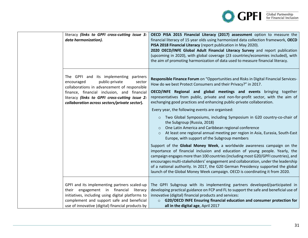

| literacy (links to GPFI cross-cutting issue 3:<br>data harmonization).                                                                                                                                                                                                             | OECD PISA 2015 Financial Literacy (2017) assessment option to measure the<br>financial literacy of 15 year olds using harmonized data collection framework, OECD<br>PISA 2018 Financial Literacy (report publication in May 2020).<br>2020 OECD/INFE Global Adult Financial Literacy Survey and report publication<br>(upcoming in 2020), with global coverage (23 countries/economies included), with<br>the aim of promoting harmonization of data used to measure financial literacy.                                                                                                                                                                                                                                                                                                                                                                                                                                                                                                                                                                                                                                                                                                                                                                         |
|------------------------------------------------------------------------------------------------------------------------------------------------------------------------------------------------------------------------------------------------------------------------------------|------------------------------------------------------------------------------------------------------------------------------------------------------------------------------------------------------------------------------------------------------------------------------------------------------------------------------------------------------------------------------------------------------------------------------------------------------------------------------------------------------------------------------------------------------------------------------------------------------------------------------------------------------------------------------------------------------------------------------------------------------------------------------------------------------------------------------------------------------------------------------------------------------------------------------------------------------------------------------------------------------------------------------------------------------------------------------------------------------------------------------------------------------------------------------------------------------------------------------------------------------------------|
| The GPFI and its implementing partners<br>public-private<br>encouraged<br>sector<br>collaborations in advancement of responsible<br>finance, financial inclusion, and financial<br>literacy (links to GPFI cross-cutting issue 2:<br>collaboration across sectors/private sector). | Responsible Finance Forum on "Opportunities and Risks in Digital Financial Services-<br>How do we best Protect Consumers and their Privacy?" in 2017.<br>OECD/INFE Regional and global meetings and events bringing together<br>representatives from public, private and non-for-profit sector, with the aim of<br>exchanging good practices and enhancing public-private collaboration.<br>Every year, the following events are organised:<br>o Two Global Symposiums, including Symposium in G20 country-co-chair of<br>the Subgroup (Russia, 2018)<br>One Latin America and Caribbean regional conference<br>At least one regional annual meeting per region in Asia, Eurasia, South-East<br>$\circ$<br>Europe, with support of the Subgroup members<br>Support of the Global Money Week, a worldwide awareness campaign on the<br>importance of financial inclusion and education of young people. Yearly, the<br>campaign engages more than 100 countries (including most G20/GPFI countries), and<br>encourages multi-stakeholders' engagement and collaboration, under the leadership<br>of a national authority. In 2017, the G20 German Presidency supported the global<br>launch of the Global Money Week campaign. OECD is coordinating it from 2020. |
| GPFI and its implementing partners scaled-up<br>their engagement in financial literacy<br>initiatives, including using digital platforms to<br>complement and support safe and beneficial<br>use of innovative (digital) financial products by                                     | The GPFI Subgroup with its implementing partners developed/participated in<br>developing practical guidance on FCP and FL to support the safe and beneficial use of<br>innovative (digital) financial products and services:<br>○ G20/OECD INFE Ensuring financial education and consumer protection for<br>all in the digital age, April 2017                                                                                                                                                                                                                                                                                                                                                                                                                                                                                                                                                                                                                                                                                                                                                                                                                                                                                                                   |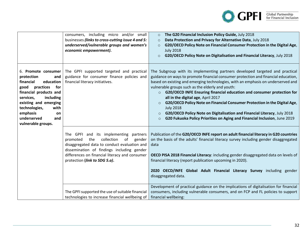

|                                                                                                                                                                                                                                                                    | consumers, including micro and/or small<br>businesses (links to cross-cutting issue 4 and 5:<br>underserved/vulnerable groups and women's<br>economic empowerment).                                                                                                      | The G20 Financial Inclusion Policy Guide, July 2018<br>$\circ$<br>Data Protection and Privacy for Alternative Data, July 2018<br>$\circ$<br>G20/OECD Policy Note on Financial Consumer Protection in the Digital Age,<br>$\circ$<br><b>July 2018</b><br>G20/OECD Policy Note on Digitalisation and Financial Literacy, July 2018<br>$\circ$                                                                                                                                                                                                                                                                                                                                                                                       |
|--------------------------------------------------------------------------------------------------------------------------------------------------------------------------------------------------------------------------------------------------------------------|--------------------------------------------------------------------------------------------------------------------------------------------------------------------------------------------------------------------------------------------------------------------------|-----------------------------------------------------------------------------------------------------------------------------------------------------------------------------------------------------------------------------------------------------------------------------------------------------------------------------------------------------------------------------------------------------------------------------------------------------------------------------------------------------------------------------------------------------------------------------------------------------------------------------------------------------------------------------------------------------------------------------------|
| 6. Promote consumer<br>protection<br>and<br>financial<br>education<br>practices<br>for<br>good<br>financial products and<br>services,<br>including<br>existing and emerging<br>technologies,<br>with<br>emphasis<br>on<br>underserved<br>and<br>vulnerable groups. | The GPFI supported targeted and practical<br>guidance for consumer finance policies and<br>financial literacy initiatives.                                                                                                                                               | The Subgroup with its implementing partners developed targeted and practical<br>guidance on ways to promote financial consumer protection and financial education,<br>based on existing and emerging technologies, with an emphasis on underserved and<br>vulnerable groups such as the elderly and youth:<br>G20/OECD INFE Ensuring financial education and consumer protection for<br>$\circ$<br>all in the digital age, April 2017<br>G20/OECD Policy Note on Financial Consumer Protection in the Digital Age,<br>$\circ$<br><b>July 2018</b><br>G20/OECD Policy Note on Digitalisation and Financial Literacy, July 2018<br>$\circ$<br>G20 Fukuoka Policy Priorities on Aging and Financial Inclusion, June 2019<br>$\Omega$ |
|                                                                                                                                                                                                                                                                    | The GPFI and its implementing partners<br>collection<br>of<br>the<br>promoted<br>gender<br>disaggregated data to conduct evaluation and<br>dissemination of findings including gender<br>differences on financial literacy and consumer<br>protection (link to SDG 5.a). | Publication of the G20/OECD INFE report on adult financial literacy in G20 countries<br>on the basis of the adults' financial literacy survey including gender disaggregated<br>data<br>OECD PISA 2018 Financial Literacy: including gender disaggregated data on levels of<br>financial literacy (report publication upcoming in 2020).<br>2020 OECD/INFE Global Adult Financial Literacy Survey including gender<br>disaggregated data.                                                                                                                                                                                                                                                                                         |
|                                                                                                                                                                                                                                                                    | The GPFI supported the use of suitable financial<br>technologies to increase financial wellbeing of                                                                                                                                                                      | Development of practical guidance on the implications of digitalisation for financial<br>consumers, including vulnerable consumers, and on FCP and FL policies to support<br>financial wellbeing:                                                                                                                                                                                                                                                                                                                                                                                                                                                                                                                                 |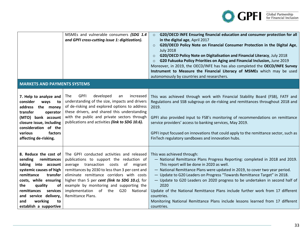

|                                                                                                                                                                                                                                                                                    | MSMEs and vulnerable consumers (SDG 1.4<br>and GPFI cross-cutting issue 1: digitization).                                                                                                                                                                                                                                                                                                  | G20/OECD INFE Ensuring financial education and consumer protection for all<br>$\circ$<br>in the digital age, April 2017<br>G20/OECD Policy Note on Financial Consumer Protection in the Digital Age,<br>$\circ$<br><b>July 2018</b><br>G20/OECD Policy Note on Digitalisation and Financial Literacy, July 2018<br>$\circ$<br>G20 Fukuoka Policy Priorities on Aging and Financial Inclusion, June 2019<br>$\circ$<br>Moreover, in 2019, the OECD/INFE has has also completed the OECD/INFE Survey<br>Instrument to Measure the Financial Literacy of MSMEs which may be used<br>autonomously by countries and researchers. |
|------------------------------------------------------------------------------------------------------------------------------------------------------------------------------------------------------------------------------------------------------------------------------------|--------------------------------------------------------------------------------------------------------------------------------------------------------------------------------------------------------------------------------------------------------------------------------------------------------------------------------------------------------------------------------------------|-----------------------------------------------------------------------------------------------------------------------------------------------------------------------------------------------------------------------------------------------------------------------------------------------------------------------------------------------------------------------------------------------------------------------------------------------------------------------------------------------------------------------------------------------------------------------------------------------------------------------------|
| <b>MARKETS AND PAYMENTS SYSTEMS</b>                                                                                                                                                                                                                                                |                                                                                                                                                                                                                                                                                                                                                                                            |                                                                                                                                                                                                                                                                                                                                                                                                                                                                                                                                                                                                                             |
| 7. Help to analyze and<br>consider<br>ways<br>to<br>address the money<br>transfer<br>operator<br>(MTO) bank account<br>closure issue, including<br>consideration of the<br>various<br>factors<br>affecting de-risking.                                                             | <b>GPFI</b><br>developed<br>increased<br><b>The</b><br>an<br>understanding of the size, impacts and drivers<br>of de-risking and explored options to address<br>these drivers, and shared this understanding<br>with the public and private sectors through<br>publications and activities (link to SDG 10.6).                                                                             | This was achieved through work with Financial Stability Board (FSB), FATF and<br>Regulations and SSB subgroup on de-risking and remittances throughout 2018 and<br>2019.<br>GPFI also provided input to FSB's monitoring of recommendations on remittance<br>service providers' access to banking services, May 2019.<br>GPFI input focused on innovations that could apply to the remittance sector, such as<br>FinTech regulatory sandboxes and innovation hubs.                                                                                                                                                          |
| 8. Reduce the cost of<br>sending<br>remittances<br>taking into account<br>systemic causes of high<br>remittance<br>transfer<br>costs, while ensuring<br>the<br>quality<br>of<br>remittances<br>services<br>and service delivery,<br>working<br>and<br>to<br>establish a supportive | The GPFI conducted activities and released<br>publications to support the reduction of<br>average transaction costs<br>of migrant<br>remittances by 2030 to less than 3 per cent and<br>eliminate remittance corridors with costs<br>higher than 5 per cent (link to SDG 10.c), for<br>example by monitoring and supporting the<br>implementation of the G20 National<br>Remittance Plans. | This was achieved through:<br>- National Remittance Plans Progress Reporting: completed in 2018 and 2019.<br>This report will be done in 2020 as well.<br>- National Remittance Plans were updated in 2019, to cover two year period.<br>- Update to G20 Leaders on Progress "Towards Remittance Target" in 2018.<br>- Update to G20 Leaders on 2020 progress to be undertaken in second half of<br>2020<br>Update of the National Remittance Plans include further work from 17 different<br>countries.<br>Monitoring National Remittance Plans include lessons learned from 17 different<br>countries.                    |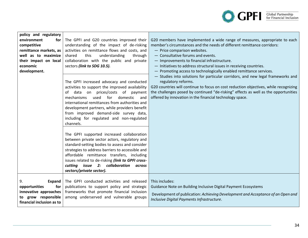

| policy and regulatory<br>environment<br>for<br>competitive<br>remittance markets, as<br>well as to maximize<br>their impact on local<br>economic<br>development. | The GPFI and G20 countries improved their<br>understanding of the impact of de-risking<br>activities on remittance flows and costs, and<br>understanding<br>shared<br>this<br>through<br>collaboration with the public and private<br>sectors (link to SDG 10.5).<br>The GPFI increased advocacy and conducted<br>activities to support the improved availability<br>of data on prices/costs of payment<br>used<br>for<br>domestic<br>mechanisms<br>and<br>international remittances from authorities and<br>development partners, while providers benefit<br>from improved demand-side survey data,<br>including for regulated and non-regulated<br>channels.<br>The GPFI supported increased collaboration<br>between private sector actors, regulatory and<br>standard-setting bodies to assess and consider<br>strategies to address barriers to accessible and<br>affordable remittance transfers, including<br>issues related to de-risking (link to GPFI cross-<br>cutting issue 2: collaboration<br>across<br>sectors/private sector). | G20 members have implemented a wide range of measures, appropriate to each<br>member's circumstances and the needs of different remittance corridors:<br>- Price comparison websites.<br>- Consultative forums and events.<br>- Improvements to financial infrastructure.<br>- Initiatives to address structural issues in receiving countries.<br>- Promoting access to technologically enabled remittance services.<br>- Studies into solutions for particular corridors, and new legal frameworks and<br>regulatory reforms.<br>G20 countries will continue to focus on cost reduction objectives, while recognizing<br>the challenges posed by continued "de-risking" effects as well as the opportunities<br>offered by innovation in the financial technology space. |
|------------------------------------------------------------------------------------------------------------------------------------------------------------------|------------------------------------------------------------------------------------------------------------------------------------------------------------------------------------------------------------------------------------------------------------------------------------------------------------------------------------------------------------------------------------------------------------------------------------------------------------------------------------------------------------------------------------------------------------------------------------------------------------------------------------------------------------------------------------------------------------------------------------------------------------------------------------------------------------------------------------------------------------------------------------------------------------------------------------------------------------------------------------------------------------------------------------------------|----------------------------------------------------------------------------------------------------------------------------------------------------------------------------------------------------------------------------------------------------------------------------------------------------------------------------------------------------------------------------------------------------------------------------------------------------------------------------------------------------------------------------------------------------------------------------------------------------------------------------------------------------------------------------------------------------------------------------------------------------------------------------|
| 9.<br>Expand<br>for<br>opportunities<br>innovative approaches<br>to grow responsible<br>financial inclusion as to                                                | The GPFI conducted activities and released<br>publications to support policy and strategic<br>frameworks that promote financial inclusion<br>among underserved and vulnerable groups                                                                                                                                                                                                                                                                                                                                                                                                                                                                                                                                                                                                                                                                                                                                                                                                                                                           | This includes:<br>Guidance Note on Building Inclusive Digital Payment Ecosystems<br>Development of publication: Achieving Development and Acceptance of an Open and<br>Inclusive Digital Payments Infrastructure.                                                                                                                                                                                                                                                                                                                                                                                                                                                                                                                                                          |